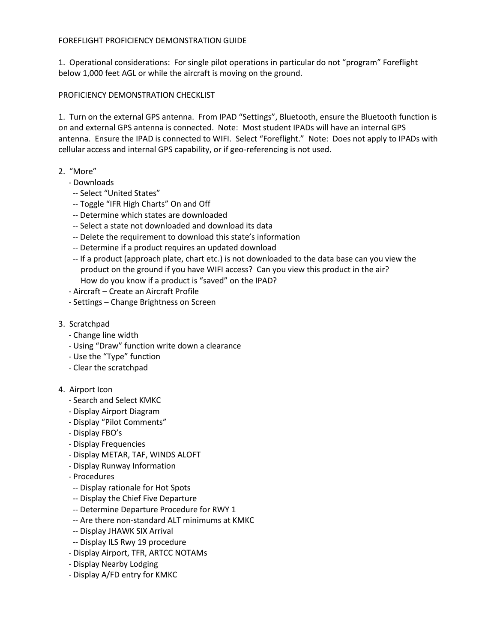## FOREFLIGHT PROFICIENCY DEMONSTRATION GUIDE

1. Operational considerations: For single pilot operations in particular do not "program" Foreflight below 1,000 feet AGL or while the aircraft is moving on the ground.

## PROFICIENCY DEMONSTRATION CHECKLIST

1. Turn on the external GPS antenna. From IPAD "Settings", Bluetooth, ensure the Bluetooth function is on and external GPS antenna is connected. Note: Most student IPADs will have an internal GPS antenna. Ensure the IPAD is connected to WIFI. Select "Foreflight." Note: Does not apply to IPADs with cellular access and internal GPS capability, or if geo-referencing is not used.

## 2. "More"

- Downloads
	- -- Select "United States"
- -- Toggle "IFR High Charts" On and Off
- -- Determine which states are downloaded
- -- Select a state not downloaded and download its data
- -- Delete the requirement to download this state's information
- -- Determine if a product requires an updated download
- -- If a product (approach plate, chart etc.) is not downloaded to the data base can you view the product on the ground if you have WIFI access? Can you view this product in the air? How do you know if a product is "saved" on the IPAD?
- Aircraft Create an Aircraft Profile
- Settings Change Brightness on Screen
- 3. Scratchpad
	- Change line width
	- Using "Draw" function write down a clearance
	- Use the "Type" function
	- Clear the scratchpad

## 4. Airport Icon

- Search and Select KMKC
- Display Airport Diagram
- Display "Pilot Comments"
- Display FBO's
- Display Frequencies
- Display METAR, TAF, WINDS ALOFT
- Display Runway Information
- Procedures
- -- Display rationale for Hot Spots
- -- Display the Chief Five Departure
- -- Determine Departure Procedure for RWY 1
- -- Are there non-standard ALT minimums at KMKC
- -- Display JHAWK SIX Arrival
- -- Display ILS Rwy 19 procedure
- Display Airport, TFR, ARTCC NOTAMs
- Display Nearby Lodging
- Display A/FD entry for KMKC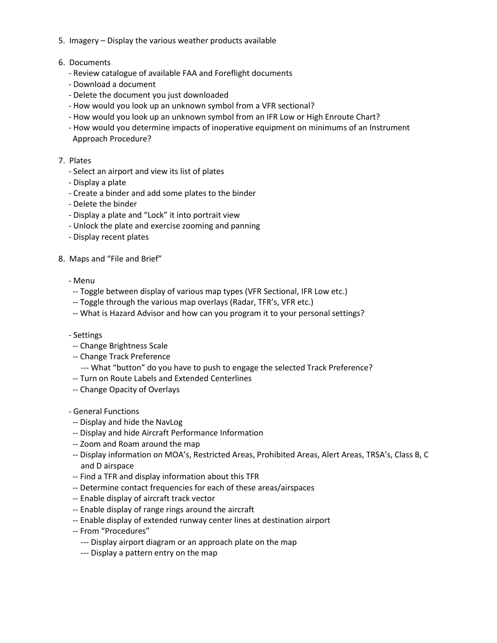- 5. Imagery Display the various weather products available
- 6. Documents
	- Review catalogue of available FAA and Foreflight documents
	- Download a document
	- Delete the document you just downloaded
	- How would you look up an unknown symbol from a VFR sectional?
	- How would you look up an unknown symbol from an IFR Low or High Enroute Chart?
	- How would you determine impacts of inoperative equipment on minimums of an Instrument Approach Procedure?
- 7. Plates
	- Select an airport and view its list of plates
	- Display a plate
	- Create a binder and add some plates to the binder
	- Delete the binder
	- Display a plate and "Lock" it into portrait view
	- Unlock the plate and exercise zooming and panning
	- Display recent plates
- 8. Maps and "File and Brief"
	- Menu
	- -- Toggle between display of various map types (VFR Sectional, IFR Low etc.)
	- -- Toggle through the various map overlays (Radar, TFR's, VFR etc.)
	- -- What is Hazard Advisor and how can you program it to your personal settings?
	- Settings
	- -- Change Brightness Scale
	- -- Change Track Preference
		- --- What "button" do you have to push to engage the selected Track Preference?
	- -- Turn on Route Labels and Extended Centerlines
	- -- Change Opacity of Overlays
	- General Functions
	- -- Display and hide the NavLog
	- -- Display and hide Aircraft Performance Information
	- -- Zoom and Roam around the map
	- -- Display information on MOA's, Restricted Areas, Prohibited Areas, Alert Areas, TRSA's, Class B, C and D airspace
	- -- Find a TFR and display information about this TFR
	- -- Determine contact frequencies for each of these areas/airspaces
	- -- Enable display of aircraft track vector
	- -- Enable display of range rings around the aircraft
	- -- Enable display of extended runway center lines at destination airport
	- -- From "Procedures"
		- --- Display airport diagram or an approach plate on the map
		- --- Display a pattern entry on the map